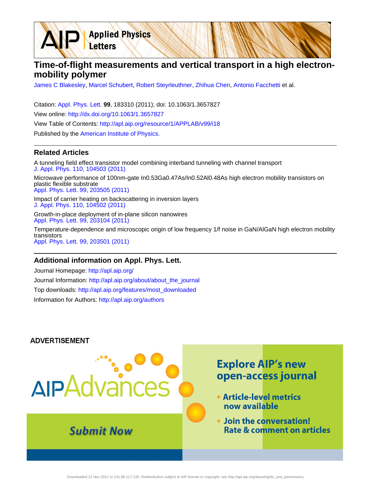**Time-of-flight measurements and vertical transport in a high electronmobility polymer**

[James C Blakesley](http://apl.aip.org/search?sortby=newestdate&q=&searchzone=2&searchtype=searchin&faceted=faceted&key=AIP_ALL&possible1=James C Blakesley&possible1zone=author&alias=&displayid=AIP&ver=pdfcov), [Marcel Schubert](http://apl.aip.org/search?sortby=newestdate&q=&searchzone=2&searchtype=searchin&faceted=faceted&key=AIP_ALL&possible1=Marcel Schubert&possible1zone=author&alias=&displayid=AIP&ver=pdfcov), [Robert Steyrleuthner](http://apl.aip.org/search?sortby=newestdate&q=&searchzone=2&searchtype=searchin&faceted=faceted&key=AIP_ALL&possible1=Robert Steyrleuthner&possible1zone=author&alias=&displayid=AIP&ver=pdfcov), [Zhihua Chen](http://apl.aip.org/search?sortby=newestdate&q=&searchzone=2&searchtype=searchin&faceted=faceted&key=AIP_ALL&possible1=Zhihua Chen&possible1zone=author&alias=&displayid=AIP&ver=pdfcov), [Antonio Facchetti](http://apl.aip.org/search?sortby=newestdate&q=&searchzone=2&searchtype=searchin&faceted=faceted&key=AIP_ALL&possible1=Antonio Facchetti&possible1zone=author&alias=&displayid=AIP&ver=pdfcov) et al.

Citation: [Appl. Phys. Lett.](http://apl.aip.org/?ver=pdfcov) **99**, 183310 (2011); doi: 10.1063/1.3657827 View online: [http://dx.doi.org/10.1063/1.3657827](http://link.aip.org/link/doi/10.1063/1.3657827?ver=pdfcov) View Table of Contents: [http://apl.aip.org/resource/1/APPLAB/v99/i18](http://apl.aip.org/resource/1/APPLAB/v99/i18?ver=pdfcov) Published by the [American Institute of Physics.](http://www.aip.org/?ver=pdfcov)

**Applied Physics** 

Letters

### **Related Articles**

A tunneling field effect transistor model combining interband tunneling with channel transport [J. Appl. Phys. 110, 104503 \(2011\)](http://link.aip.org/link/doi/10.1063/1.3658871?ver=pdfcov) Microwave performance of 100nm-gate In0.53Ga0.47As/In0.52Al0.48As high electron mobility transistors on plastic flexible substrate [Appl. Phys. Lett. 99, 203505 \(2011\)](http://link.aip.org/link/doi/10.1063/1.3663533?ver=pdfcov)

Impact of carrier heating on backscattering in inversion layers [J. Appl. Phys. 110, 104502 \(2011\)](http://link.aip.org/link/doi/10.1063/1.3660769?ver=pdfcov)

Growth-in-place deployment of in-plane silicon nanowires [Appl. Phys. Lett. 99, 203104 \(2011\)](http://link.aip.org/link/doi/10.1063/1.3659895?ver=pdfcov)

Temperature-dependence and microscopic origin of low frequency 1/f noise in GaN/AlGaN high electron mobility transistors [Appl. Phys. Lett. 99, 203501 \(2011\)](http://link.aip.org/link/doi/10.1063/1.3662041?ver=pdfcov)

#### **Additional information on Appl. Phys. Lett.**

Journal Homepage: [http://apl.aip.org/](http://apl.aip.org/?ver=pdfcov) Journal Information: [http://apl.aip.org/about/about\\_the\\_journal](http://apl.aip.org/about/about_the_journal?ver=pdfcov) Top downloads: [http://apl.aip.org/features/most\\_downloaded](http://apl.aip.org/features/most_downloaded?ver=pdfcov) Information for Authors: [http://apl.aip.org/authors](http://apl.aip.org/authors?ver=pdfcov)

#### **ADVERTISEMENT**

# **Explore AIP's new** open-access journal AIPAdvar • Article-level metrics now available . Join the conversation! **Submit Now Rate & comment on articles**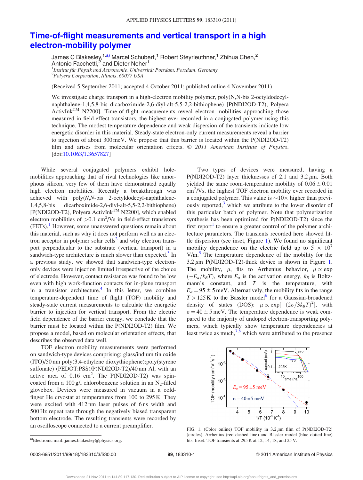## [Time-of-flight measurements and vertical transport in a high](http://dx.doi.org/10.1063/1.3657827) [electron-mobility polymer](http://dx.doi.org/10.1063/1.3657827)

James C Blakesley,<sup>1,a)</sup> Marcel Schubert,<sup>1</sup> Robert Steyrleuthner,<sup>1</sup> Zhihua Chen,<sup>2</sup> Antonio Facchetti,<sup>2</sup> and Dieter Neher<sup>1</sup><br><sup>1</sup>Institut für Physik und Astronomis, Universit  $^{1}$ Institut für Physik und Astronomie, Universität Potsdam, Potsdam, Germany <sup>2</sup>Polyera Corporation, Illinois, 60077 USA

(Received 5 September 2011; accepted 4 October 2011; published online 4 November 2011)

We investigate charge transport in a high-electron mobility polymer, poly(N,N-bis 2-octyldodecylnaphthalene-1,4,5,8-bis dicarboximide-2,6-diyl-alt-5,5-2,2-bithiophene) [P(NDI2OD-T2), Polyera ActivInk<sup>TM</sup> N2200]. Time-of-flight measurements reveal electron mobilities approaching those measured in field-effect transistors, the highest ever recorded in a conjugated polymer using this technique. The modest temperature dependence and weak dispersion of the transients indicate low energetic disorder in this material. Steady-state electron-only current measurements reveal a barrier to injection of about 300 meV. We propose that this barrier is located within the P(NDI2OD-T2) film and arises from molecular orientation effects.  $\odot$  2011 American Institute of Physics. [doi:[10.1063/1.3657827\]](http://dx.doi.org/10.1063/1.3657827)

While several conjugated polymers exhibit holemobilities approaching that of rival technologies like amorphous silicon, very few of them have demonstrated equally high electron mobilities. Recently a breakthrough was achieved with  $poly(N,N-bis)$  2-octyldodecyl-naphthalene-1,4,5,8-bis dicarboximide-2,6-diyl-alt-5,5-2,2-bithiophene) [P(NDI2OD-T2), Polyera ActivInk<sup>TM</sup> N2200], which enabled electron mobilities of  $> 0.1$  cm<sup>2</sup>/Vs in field-effect transistors (FETs).<sup>1</sup> However, some unanswered questions remain about this material, such as why it does not perform well as an elec-tron acceptor in polymer solar cells<sup>[2](#page-3-0)</sup> and why electron transport perpendicular to the substrate (vertical transport) in a sandwich-type architecture is much slower than expected. $3$  In a previous study, we showed that sandwich-type electrononly devices were injection limited irrespective of the choice of electrode. However, contact resistance was found to be low even with high work-function contacts for in-plane transport in a transistor architecture.<sup>4</sup> In this letter, we combine temperature-dependent time of flight (TOF) mobility and steady-state current measurements to calculate the energetic barrier to injection for vertical transport. From the electric field dependence of the barrier energy, we conclude that the barrier must be located within the P(NDI2OD-T2) film. We propose a model, based on molecular orientation effects, that describes the observed data well.

TOF electron mobility measurements were performed on sandwich-type devices comprising: glass/indium tin oxide (ITO)/50 nm poly(3,4-ethylene dioxythiophene):poly(styrene sulfonate) (PEDOT:PSS)/P(NDI2OD-T2)/40 nm Al, with an active area of  $0.16 \text{ cm}^2$ . The P(NDI2OD-T2) was spincoated from a 100 g/l chlorobenzene solution in an  $N_2$ -filled glovebox. Devices were measured in vacuum in a coldfinger He cryostat at temperatures from 100 to 295 K. They were excited with 412 nm laser pulses of 6 ns width and 500 Hz repeat rate through the negatively biased transparent bottom electrode. The resulting transients were recorded by an oscilloscope connected to a current preamplifier.

Two types of devices were measured, having a P(NDI2OD-T2) layer thicknesses of 2.1 and  $3.2 \mu m$ . Both yielded the same room-temperature mobility of  $0.06 \pm 0.01$ cm<sup>2</sup>/Vs, the highest TOF electron mobility ever recorded in a conjugated polymer. This value is  $\sim 10 \times$  higher than previously reported, $3$  which we attribute to the lower disorder of this particular batch of polymer. Note that polymerization synthesis has been optimized for P(NDI2OD-T2) since the first report<sup>[1](#page-3-0)</sup> to ensure a greater control of the polymer architecture parameters. The transients recorded here showed little dispersion (see inset, Figure 1). We found no significant mobility dependence on the electric field up to  $5 \times 10^{7}$  $V/m<sup>5</sup>$  $V/m<sup>5</sup>$  $V/m<sup>5</sup>$ . The temperature dependence of the mobility for the  $3.2 \mu m$  P(NDI2OD-T2)-thick device is shown in Figure 1. The mobility,  $\mu$ , fits to Arrhenius behavior,  $\mu \propto \exp$  $(-E_a/k_BT)$ , where  $E_a$  is the activation energy,  $k_B$  is Boltzmann's constant, and  $T$  is the temperature, with  $E_a = 95 \pm 5$  meV. Alternatively, the mobility fits in the range  $T > 125$  K to the Bässler model<sup>[6](#page-3-0)</sup> for a Gaussian-broadened density of states (DOS):  $\mu \propto \exp[-(2\sigma/3k_BT)^2]$ , with  $\sigma = 40 \pm 5$  meV. The temperature dependence is weak compared to the majority of undoped electron-transporting polymers, which typically show temperature dependencies at least twice as much,  $7,8$  which were attributed to the presence



FIG. 1. (Color online) TOF mobility in  $3.2 \mu m$  film of P(NDI2OD-T2) (circles). Arrhenius (red dashed line) and Bässler model (blue dotted line) <sup>a)</sup>Electronic mail: james.blakesley@physics.org. fits. Inset: TOF transients at 295 K at 12, 14, 18, and 25 V.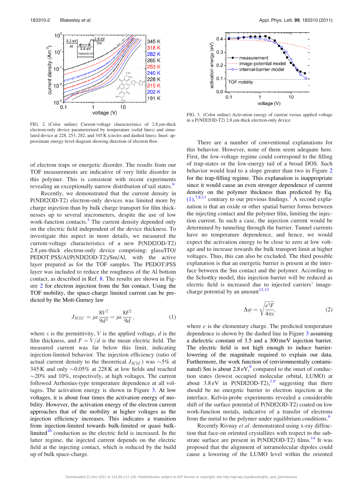<span id="page-2-0"></span>

FIG. 2. (Color online) Current-voltage characteristics of  $2.8 \mu m$ -thick electron-only device parameterized by temperature (solid lines) and simulated device at 228, 253, 282, and 345 K (circles and dashed lines). Inset: approximate energy-level diagram showing direction of electron flow.

of electron traps or energetic disorder. The results from our TOF measurements are indicative of very little disorder in this polymer. This is consistent with recent experiments revealing an exceptionally narrow distribution of tail states.<sup>[9](#page-3-0)</sup>

Recently, we demonstrated that the current density in P(NDI2OD-T2) electron-only devices was limited more by charge injection than by bulk charge transport for film thicknesses up to several micrometers, despite the use of low work-function contacts.<sup>[3](#page-3-0)</sup> The current density depended only on the electric field independent of the device thickness. To investigate this aspect in more details, we measured the current-voltage characteristics of a new P(NDI2OD-T2)  $2.8 \mu$ m-thick electron-only device comprising: glass/ITO/ PEDOT:PSS/Al/P(NDI2OD-T2)/Sm/Al, with the active layer prepared as for the TOF samples. The PEDOT:PSS layer was included to reduce the roughness of the Al bottom contact, as described in Ref. [8](#page-3-0). The results are shown in Figure 2 for electron injection from the Sm contact. Using the TOF mobility, the space-charge limited current can be predicted by the Mott-Gurney law

$$
J_{SCLC} = \mu \varepsilon \frac{8V^2}{9d^3} = \mu \varepsilon \frac{8F^2}{9d},\tag{1}
$$

where  $\varepsilon$  is the permittivity, V is the applied voltage, d is the film thickness, and  $F = V/d$  is the mean electric field. The measured current was far below this limit, indicating injection-limited behavior. The injection efficiency (ratio of actual current density to the theoretical  $J_{SCLC}$ ) was  $\sim$ 5% at 345 K and only  $\sim 0.05\%$  at 228 K at low fields and reached  $\sim$ 20% and 10%, respectively, at high voltages. The current followed Arrhenius-type temperature dependence at all voltages. The activation energy is shown in Figure 3. At low voltages, it is about four times the activation energy of mobility. However, the activation energy of the electron current approaches that of the mobility at higher voltages as the injection efficiency increases. This indicates a transition from injection-limited towards bulk-limited or quasi bulk-limited<sup>[10](#page-3-0)</sup> conduction as the electric field is increased. In the latter regime, the injected current depends on the electric field at the injecting contact, which is reduced by the build up of bulk space-charge.



FIG. 3. (Color online) Activation energy of current versus applied voltage in a P(NDI2OD-T2) 2.8  $\mu$ m-thick electron-only device.

There are a number of conventional explanations for this behavior. However, none of them seem adequate here. First, the low-voltage regime could correspond to the filling of trap-states or the low-energy tail of a broad DOS. Such behavior would lead to a slope greater than two in Figure 2 for the trap-filling regime. This explanation is inappropriate since it would cause an even stronger dependence of current density on the polymer thickness than predicted by Eq.  $(1)$ ,<sup>[7,8,11](#page-3-0)</sup> contrary to our previous findings.<sup>[3](#page-3-0)</sup> A second explanation is that an oxide or other spatial barrier forms between the injecting contact and the polymer film, limiting the injection current. In such a case, the injection current would be determined by tunneling through the barrier. Tunnel currents have no temperature dependence, and hence, we would expect the activation energy to be close to zero at low voltage and to increase towards the bulk transport limit at higher voltages. Thus, this can also be excluded. The third possible explanation is that an energetic barrier is present at the interface between the Sm contact and the polymer. According to the Schottky model, this injection barrier will be reduced as electric field is increased due to injected carriers' imagecharge potential by an amount $12,13$ 

$$
\Delta \varphi = \sqrt{\frac{e^3 F}{4\pi \epsilon}},\tag{2}
$$

where  $e$  is the elementary charge. The predicted temperature dependence is shown by the dashed line in Figure 3 assuming a dielectric constant of 3.5 and a 300 meV injection barrier. The electric field is not high enough to induce barrierlowering of the magnitude required to explain our data. Furthermore, the work function of (environmentally contaminated) Sm is about  $2.8 \text{ eV}$ , compared to the onset of conduction states (lowest occupied molecular orbital, LUMO) at about  $3.8 \text{ eV}$  in P(NDI2OD-T2),<sup>1,9</sup> suggesting that there should be no energetic barrier to electron injection at the interface. Kelvin-probe experiments revealed a considerable shift of the surface potential of P(NDI2OD-T2) coated on low work-function metals, indicative of a transfer of electrons from the metal to the polymer under equilibrium conditions.<sup>9</sup>

Recently Rivnay et al. demonstrated using x-ray diffraction that face-on oriented crystallites with respect to the substrate surface are present in  $P(NDI2OD-T2)$  films.<sup>[14](#page-3-0)</sup> It was proposed that the alignment of intramolecular dipoles could cause a lowering of the LUMO level within the oriented